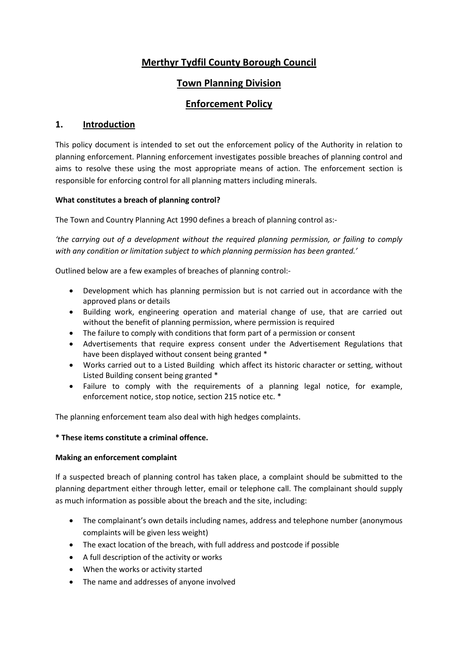# **Merthyr Tydfil County Borough Council**

# **Town Planning Division**

# **Enforcement Policy**

# **1. Introduction**

 This policy document is intended to set out the enforcement policy of the Authority in relation to planning enforcement. Planning enforcement investigates possible breaches of planning control and aims to resolve these using the most appropriate means of action. The enforcement section is responsible for enforcing control for all planning matters including minerals.

## **What constitutes a breach of planning control?**

The Town and Country Planning Act 1990 defines a breach of planning control as:-

*'the carrying out of a development without the required planning permission, or failing to comply with any condition or limitation subject to which planning permission has been granted.'* 

Outlined below are a few examples of breaches of planning control:-

- Development which has planning permission but is not carried out in accordance with the approved plans or details
- Building work, engineering operation and material change of use, that are carried out without the benefit of planning permission, where permission is required
- The failure to comply with conditions that form part of a permission or consent
- Advertisements that require express consent under the Advertisement Regulations that have been displayed without consent being granted \*
- Works carried out to a Listed Building which affect its historic character or setting, without Listed Building consent being granted \*
- Failure to comply with the requirements of a planning legal notice, for example, enforcement notice, stop notice, section 215 notice etc. \*

The planning enforcement team also deal with high hedges complaints.

## **\* These items constitute a criminal offence.**

## **Making an enforcement complaint**

If a suspected breach of planning control has taken place, a complaint should be submitted to the planning department either through letter, email or telephone call. The complainant should supply as much information as possible about the breach and the site, including:

- The complainant's own details including names, address and telephone number (anonymous complaints will be given less weight)
- The exact location of the breach, with full address and postcode if possible
- A full description of the activity or works
- When the works or activity started
- The name and addresses of anyone involved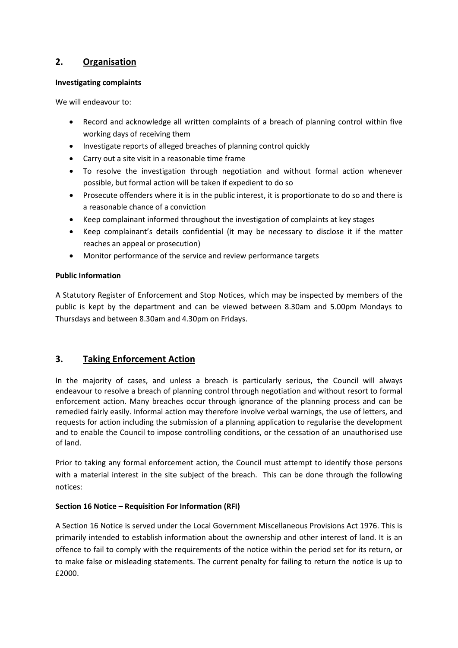# **2. Organisation**

### **Investigating complaints**

We will endeavour to:

- Record and acknowledge all written complaints of a breach of planning control within five working days of receiving them
- Investigate reports of alleged breaches of planning control quickly
- Carry out a site visit in a reasonable time frame
- To resolve the investigation through negotiation and without formal action whenever possible, but formal action will be taken if expedient to do so
- Prosecute offenders where it is in the public interest, it is proportionate to do so and there is a reasonable chance of a conviction
- Keep complainant informed throughout the investigation of complaints at key stages
- Keep complainant's details confidential (it may be necessary to disclose it if the matter reaches an appeal or prosecution)
- Monitor performance of the service and review performance targets

## **Public Information**

A Statutory Register of Enforcement and Stop Notices, which may be inspected by members of the public is kept by the department and can be viewed between 8.30am and 5.00pm Mondays to Thursdays and between 8.30am and 4.30pm on Fridays.

# **3. Taking Enforcement Action**

In the majority of cases, and unless a breach is particularly serious, the Council will always endeavour to resolve a breach of planning control through negotiation and without resort to formal enforcement action. Many breaches occur through ignorance of the planning process and can be remedied fairly easily. Informal action may therefore involve verbal warnings, the use of letters, and requests for action including the submission of a planning application to regularise the development and to enable the Council to impose controlling conditions, or the cessation of an unauthorised use of land.

Prior to taking any formal enforcement action, the Council must attempt to identify those persons with a material interest in the site subject of the breach. This can be done through the following notices:

## **Section 16 Notice – Requisition For Information (RFI)**

A Section 16 Notice is served under the Local Government Miscellaneous Provisions Act 1976. This is primarily intended to establish information about the ownership and other interest of land. It is an offence to fail to comply with the requirements of the notice within the period set for its return, or to make false or misleading statements. The current penalty for failing to return the notice is up to £2000.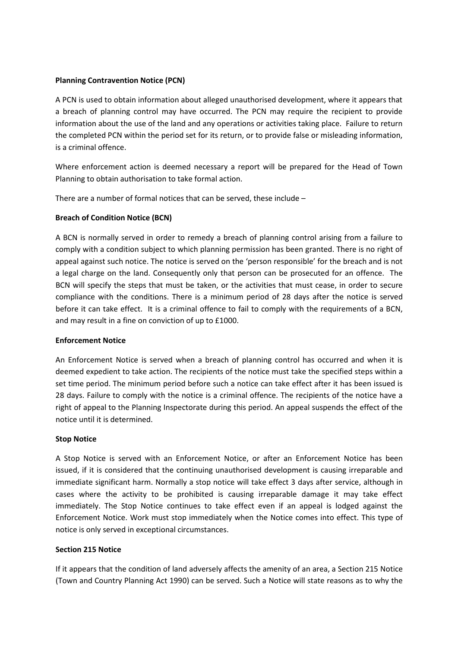#### **Planning Contravention Notice (PCN)**

A PCN is used to obtain information about alleged unauthorised development, where it appears that a breach of planning control may have occurred. The PCN may require the recipient to provide information about the use of the land and any operations or activities taking place. Failure to return the completed PCN within the period set for its return, or to provide false or misleading information, is a criminal offence.

Where enforcement action is deemed necessary a report will be prepared for the Head of Town Planning to obtain authorisation to take formal action.

There are a number of formal notices that can be served, these include –

#### **Breach of Condition Notice (BCN)**

A BCN is normally served in order to remedy a breach of planning control arising from a failure to comply with a condition subject to which planning permission has been granted. There is no right of appeal against such notice. The notice is served on the 'person responsible' for the breach and is not a legal charge on the land. Consequently only that person can be prosecuted for an offence. The BCN will specify the steps that must be taken, or the activities that must cease, in order to secure compliance with the conditions. There is a minimum period of 28 days after the notice is served before it can take effect. It is a criminal offence to fail to comply with the requirements of a BCN, and may result in a fine on conviction of up to £1000.

#### **Enforcement Notice**

An Enforcement Notice is served when a breach of planning control has occurred and when it is deemed expedient to take action. The recipients of the notice must take the specified steps within a set time period. The minimum period before such a notice can take effect after it has been issued is 28 days. Failure to comply with the notice is a criminal offence. The recipients of the notice have a right of appeal to the Planning Inspectorate during this period. An appeal suspends the effect of the notice until it is determined.

#### **Stop Notice**

A Stop Notice is served with an Enforcement Notice, or after an Enforcement Notice has been issued, if it is considered that the continuing unauthorised development is causing irreparable and immediate significant harm. Normally a stop notice will take effect 3 days after service, although in cases where the activity to be prohibited is causing irreparable damage it may take effect immediately. The Stop Notice continues to take effect even if an appeal is lodged against the Enforcement Notice. Work must stop immediately when the Notice comes into effect. This type of notice is only served in exceptional circumstances.

#### **Section 215 Notice**

If it appears that the condition of land adversely affects the amenity of an area, a Section 215 Notice (Town and Country Planning Act 1990) can be served. Such a Notice will state reasons as to why the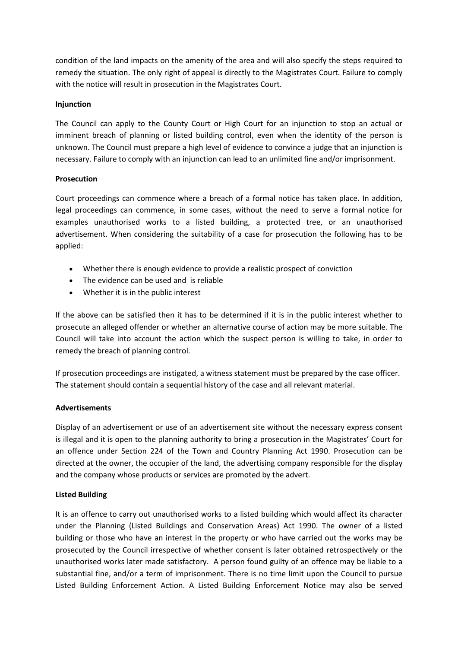condition of the land impacts on the amenity of the area and will also specify the steps required to remedy the situation. The only right of appeal is directly to the Magistrates Court. Failure to comply with the notice will result in prosecution in the Magistrates Court.

#### **Injunction**

The Council can apply to the County Court or High Court for an injunction to stop an actual or imminent breach of planning or listed building control, even when the identity of the person is unknown. The Council must prepare a high level of evidence to convince a judge that an injunction is necessary. Failure to comply with an injunction can lead to an unlimited fine and/or imprisonment.

#### **Prosecution**

Court proceedings can commence where a breach of a formal notice has taken place. In addition, legal proceedings can commence, in some cases, without the need to serve a formal notice for examples unauthorised works to a listed building, a protected tree, or an unauthorised advertisement. When considering the suitability of a case for prosecution the following has to be applied:

- Whether there is enough evidence to provide a realistic prospect of conviction
- The evidence can be used and is reliable
- Whether it is in the public interest

If the above can be satisfied then it has to be determined if it is in the public interest whether to prosecute an alleged offender or whether an alternative course of action may be more suitable. The Council will take into account the action which the suspect person is willing to take, in order to remedy the breach of planning control.

If prosecution proceedings are instigated, a witness statement must be prepared by the case officer. The statement should contain a sequential history of the case and all relevant material.

## **Advertisements**

Display of an advertisement or use of an advertisement site without the necessary express consent is illegal and it is open to the planning authority to bring a prosecution in the Magistrates' Court for an offence under Section 224 of the Town and Country Planning Act 1990. Prosecution can be directed at the owner, the occupier of the land, the advertising company responsible for the display and the company whose products or services are promoted by the advert.

## **Listed Building**

It is an offence to carry out unauthorised works to a listed building which would affect its character under the Planning (Listed Buildings and Conservation Areas) Act 1990. The owner of a listed building or those who have an interest in the property or who have carried out the works may be prosecuted by the Council irrespective of whether consent is later obtained retrospectively or the unauthorised works later made satisfactory. A person found guilty of an offence may be liable to a substantial fine, and/or a term of imprisonment. There is no time limit upon the Council to pursue Listed Building Enforcement Action. A Listed Building Enforcement Notice may also be served